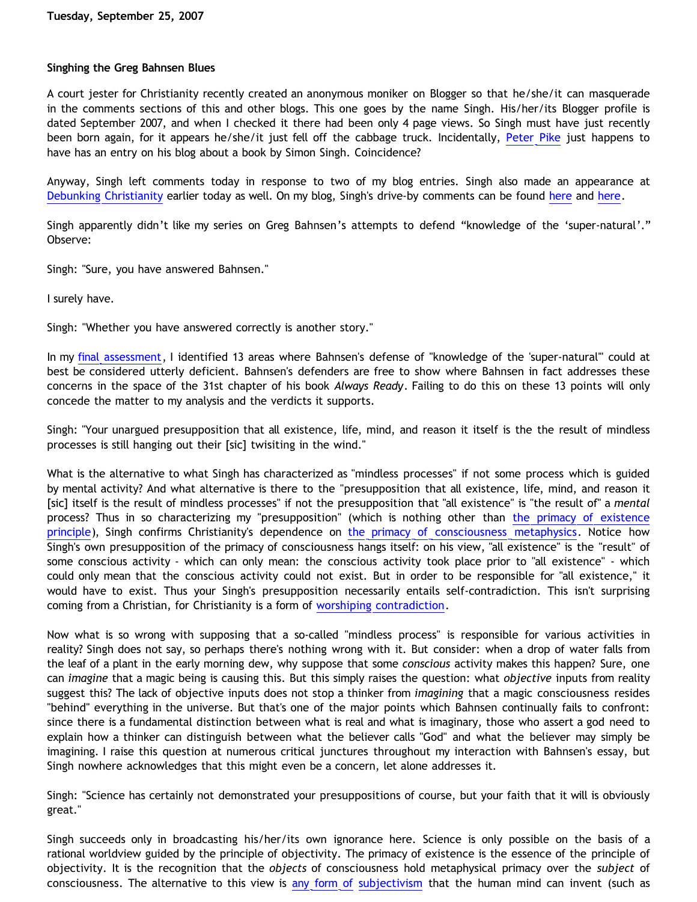## **Singhing the Greg Bahnsen Blues**

A court jester for Christianity recently created an anonymous moniker on Blogger so that he/she/it can masquerade in the comments sections of this and other blogs. This one goes by the name Singh. His/her/its Blogger profile is dated September 2007, and when I checked it there had been only 4 page views. So Singh must have just recently been born again, for it appears he/she/it just fell off the cabbage truck. Incidentally, [Peter Pike](http://calvindude.com/dude/blog/2007/09/big-bang/) just happens to have has an entry on his blog about a book by Simon Singh. Coincidence?

Anyway, Singh left comments today in response to two of my blog entries. Singh also made an appearance at [Debunking Christianity](http://debunkingchristianity.blogspot.com/2007/09/some-advice-to-those-who-leave.html) earlier today as well. On my blog, Singh's drive-by comments can be found [here](http://bahnsenburner.blogspot.com/2007/09/roadmap-to-bahnsen-on-supernatural.html) and [here](http://bahnsenburner.blogspot.com/2007/09/bahnsen-on-knowing-supernatural-part-18.html).

Singh apparently didn't like my series on Greg Bahnsen's attempts to defend "knowledge of the 'super-natural'." Observe:

Singh: "Sure, you have answered Bahnsen."

I surely have.

Singh: "Whether you have answered correctly is another story."

In my [final assessment,](http://bahnsenburner.blogspot.com/2007/09/bahnsen-on-knowing-supernatural-part-18.html) I identified 13 areas where Bahnsen's defense of "knowledge of the 'super-natural'" could at best be considered utterly deficient. Bahnsen's defenders are free to show where Bahnsen in fact addresses these concerns in the space of the 31st chapter of his book *Always Ready*. Failing to do this on these 13 points will only concede the matter to my analysis and the verdicts it supports.

Singh: "Your unargued presupposition that all existence, life, mind, and reason it itself is the the result of mindless processes is still hanging out their [sic] twisiting in the wind."

What is the alternative to what Singh has characterized as "mindless processes" if not some process which is guided by mental activity? And what alternative is there to the "presupposition that all existence, life, mind, and reason it [sic] itself is the result of mindless processes" if not the presupposition that "all existence" is "the result of" a *mental* process? Thus in so characterizing my "presupposition" (which is nothing other than [the primacy of existence](http://www.geocities.com/katholon/AxiomsPOE.htm) [principle\)](http://www.geocities.com/katholon/AxiomsPOE.htm), Singh confirms Christianity's dependence on [the primacy of consciousness metaphysics.](http://bahnsenburner.blogspot.com/2006/12/theism-and-subjective-metaphysics.html) Notice how Singh's own presupposition of the primacy of consciousness hangs itself: on his view, "all existence" is the "result" of some conscious activity - which can only mean: the conscious activity took place prior to "all existence" - which could only mean that the conscious activity could not exist. But in order to be responsible for "all existence," it would have to exist. Thus your Singh's presupposition necessarily entails self-contradiction. This isn't surprising coming from a Christian, for Christianity is a form of [worshiping contradiction](http://bahnsenburner.blogspot.com/2005/08/christianity-as-worship-of-self.html).

Now what is so wrong with supposing that a so-called "mindless process" is responsible for various activities in reality? Singh does not say, so perhaps there's nothing wrong with it. But consider: when a drop of water falls from the leaf of a plant in the early morning dew, why suppose that some *conscious* activity makes this happen? Sure, one can *imagine* that a magic being is causing this. But this simply raises the question: what *objective* inputs from reality suggest this? The lack of objective inputs does not stop a thinker from *imagining* that a magic consciousness resides "behind" everything in the universe. But that's one of the major points which Bahnsen continually fails to confront: since there is a fundamental distinction between what is real and what is imaginary, those who assert a god need to explain how a thinker can distinguish between what the believer calls "God" and what the believer may simply be imagining. I raise this question at numerous critical junctures throughout my interaction with Bahnsen's essay, but Singh nowhere acknowledges that this might even be a concern, let alone addresses it.

Singh: "Science has certainly not demonstrated your presuppositions of course, but your faith that it will is obviously great."

Singh succeeds only in broadcasting his/her/its own ignorance here. Science is only possible on the basis of a rational worldview guided by the principle of objectivity. The primacy of existence is the essence of the principle of objectivity. It is the recognition that the *objects* of consciousness hold metaphysical primacy over the *subject* of consciousness. The alternative to this view is [any form of](http://bahnsenburner.blogspot.com/2006/07/metaphysical-subjectivism-and.html) [subjectivism](http://bahnsenburner.blogspot.com/2006/07/metaphysical-subjectivism-and_06.html) that the human mind can invent (such as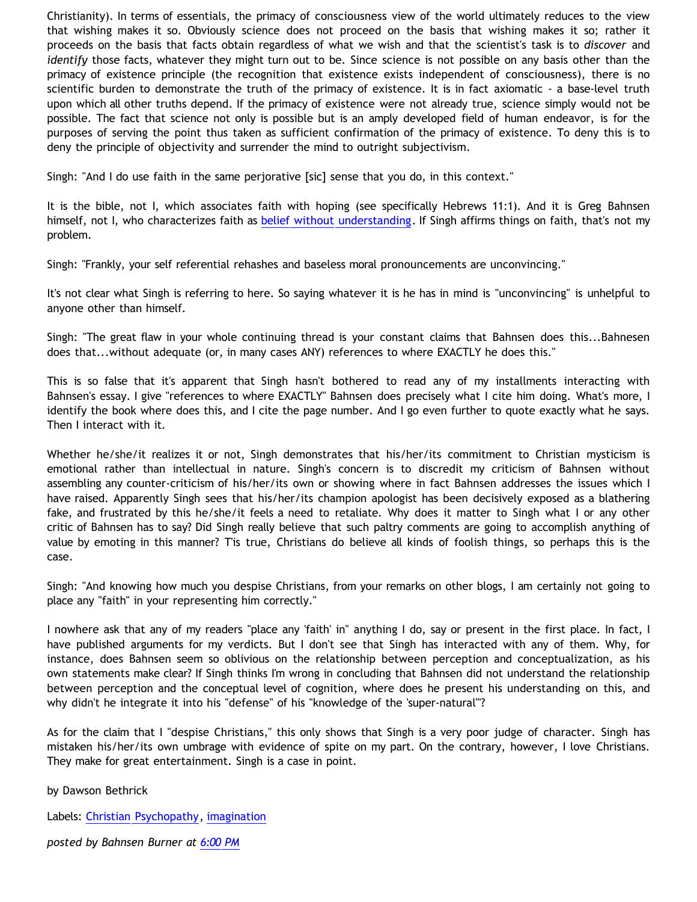Christianity). In terms of essentials, the primacy of consciousness view of the world ultimately reduces to the view that wishing makes it so. Obviously science does not proceed on the basis that wishing makes it so; rather it proceeds on the basis that facts obtain regardless of what we wish and that the scientist's task is to *discover* and *identify* those facts, whatever they might turn out to be. Since science is not possible on any basis other than the primacy of existence principle (the recognition that existence exists independent of consciousness), there is no scientific burden to demonstrate the truth of the primacy of existence. It is in fact axiomatic - a base-level truth upon which all other truths depend. If the primacy of existence were not already true, science simply would not be possible. The fact that science not only is possible but is an amply developed field of human endeavor, is for the purposes of serving the point thus taken as sufficient confirmation of the primacy of existence. To deny this is to deny the principle of objectivity and surrender the mind to outright subjectivism.

Singh: "And I do use faith in the same perjorative [sic] sense that you do, in this context."

It is the bible, not I, which associates faith with hoping (see specifically Hebrews 11:1). And it is Greg Bahnsen himself, not I, who characterizes faith as [belief without understanding](http://bahnsenburner.blogspot.com/2007/01/faith-as-belief-without-understanding.html). If Singh affirms things on faith, that's not my problem.

Singh: "Frankly, your self referential rehashes and baseless moral pronouncements are unconvincing."

It's not clear what Singh is referring to here. So saying whatever it is he has in mind is "unconvincing" is unhelpful to anyone other than himself.

Singh: "The great flaw in your whole continuing thread is your constant claims that Bahnsen does this...Bahnesen does that...without adequate (or, in many cases ANY) references to where EXACTLY he does this."

This is so false that it's apparent that Singh hasn't bothered to read any of my installments interacting with Bahnsen's essay. I give "references to where EXACTLY" Bahnsen does precisely what I cite him doing. What's more, I identify the book where does this, and I cite the page number. And I go even further to quote exactly what he says. Then I interact with it.

Whether he/she/it realizes it or not, Singh demonstrates that his/her/its commitment to Christian mysticism is emotional rather than intellectual in nature. Singh's concern is to discredit my criticism of Bahnsen without assembling any counter-criticism of his/her/its own or showing where in fact Bahnsen addresses the issues which I have raised. Apparently Singh sees that his/her/its champion apologist has been decisively exposed as a blathering fake, and frustrated by this he/she/it feels a need to retaliate. Why does it matter to Singh what I or any other critic of Bahnsen has to say? Did Singh really believe that such paltry comments are going to accomplish anything of value by emoting in this manner? T'is true, Christians do believe all kinds of foolish things, so perhaps this is the case.

Singh: "And knowing how much you despise Christians, from your remarks on other blogs, I am certainly not going to place any "faith" in your representing him correctly."

I nowhere ask that any of my readers "place any 'faith' in" anything I do, say or present in the first place. In fact, I have published arguments for my verdicts. But I don't see that Singh has interacted with any of them. Why, for instance, does Bahnsen seem so oblivious on the relationship between perception and conceptualization, as his own statements make clear? If Singh thinks I'm wrong in concluding that Bahnsen did not understand the relationship between perception and the conceptual level of cognition, where does he present his understanding on this, and why didn't he integrate it into his "defense" of his "knowledge of the 'super-natural'"?

As for the claim that I "despise Christians," this only shows that Singh is a very poor judge of character. Singh has mistaken his/her/its own umbrage with evidence of spite on my part. On the contrary, however, I love Christians. They make for great entertainment. Singh is a case in point.

by Dawson Bethrick

Labels: [Christian Psychopathy](http://bahnsenburner.blogspot.com/search/label/Christian%20Psychopathy), [imagination](http://bahnsenburner.blogspot.com/search/label/imagination)

*posted by Bahnsen Burner at [6:00 PM](http://bahnsenburner.blogspot.com/2007/09/singhing-greg-bahnsen-blues.html)*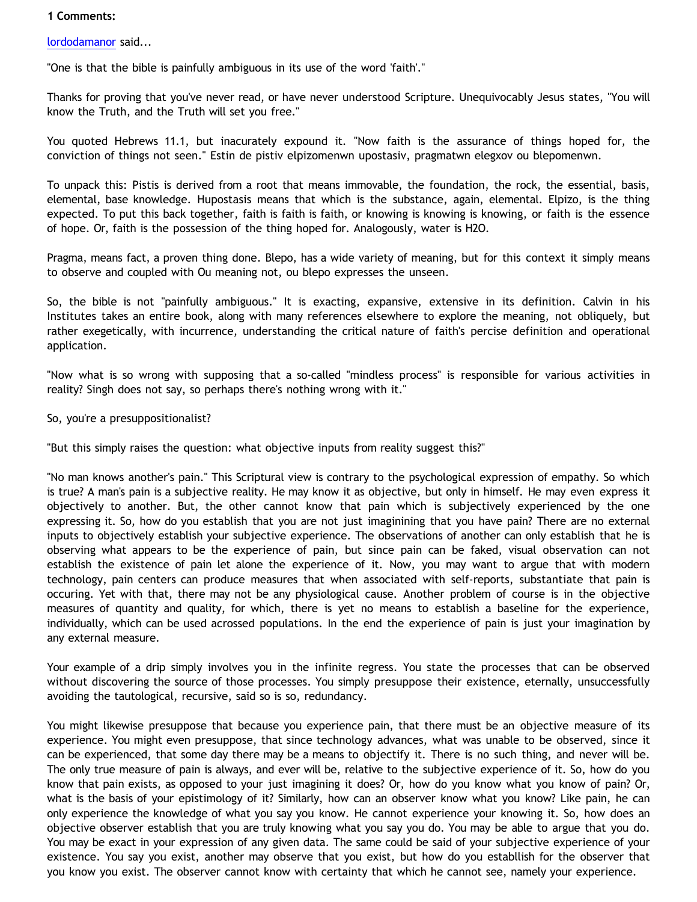## **1 Comments:**

[lordodamanor](http://www.blogger.com/profile/13834108238546908018) said...

"One is that the bible is painfully ambiguous in its use of the word 'faith'."

Thanks for proving that you've never read, or have never understood Scripture. Unequivocably Jesus states, "You will know the Truth, and the Truth will set you free."

You quoted Hebrews 11.1, but inacurately expound it. "Now faith is the assurance of things hoped for, the conviction of things not seen." Estin de pistiv elpizomenwn upostasiv, pragmatwn elegxov ou blepomenwn.

To unpack this: Pistis is derived from a root that means immovable, the foundation, the rock, the essential, basis, elemental, base knowledge. Hupostasis means that which is the substance, again, elemental. Elpizo, is the thing expected. To put this back together, faith is faith is faith, or knowing is knowing is knowing, or faith is the essence of hope. Or, faith is the possession of the thing hoped for. Analogously, water is H2O.

Pragma, means fact, a proven thing done. Blepo, has a wide variety of meaning, but for this context it simply means to observe and coupled with Ou meaning not, ou blepo expresses the unseen.

So, the bible is not "painfully ambiguous." It is exacting, expansive, extensive in its definition. Calvin in his Institutes takes an entire book, along with many references elsewhere to explore the meaning, not obliquely, but rather exegetically, with incurrence, understanding the critical nature of faith's percise definition and operational application.

"Now what is so wrong with supposing that a so-called "mindless process" is responsible for various activities in reality? Singh does not say, so perhaps there's nothing wrong with it."

## So, you're a presuppositionalist?

"But this simply raises the question: what objective inputs from reality suggest this?"

"No man knows another's pain." This Scriptural view is contrary to the psychological expression of empathy. So which is true? A man's pain is a subjective reality. He may know it as objective, but only in himself. He may even express it objectively to another. But, the other cannot know that pain which is subjectively experienced by the one expressing it. So, how do you establish that you are not just imaginining that you have pain? There are no external inputs to objectively establish your subjective experience. The observations of another can only establish that he is observing what appears to be the experience of pain, but since pain can be faked, visual observation can not establish the existence of pain let alone the experience of it. Now, you may want to argue that with modern technology, pain centers can produce measures that when associated with self-reports, substantiate that pain is occuring. Yet with that, there may not be any physiological cause. Another problem of course is in the objective measures of quantity and quality, for which, there is yet no means to establish a baseline for the experience, individually, which can be used acrossed populations. In the end the experience of pain is just your imagination by any external measure.

Your example of a drip simply involves you in the infinite regress. You state the processes that can be observed without discovering the source of those processes. You simply presuppose their existence, eternally, unsuccessfully avoiding the tautological, recursive, said so is so, redundancy.

You might likewise presuppose that because you experience pain, that there must be an objective measure of its experience. You might even presuppose, that since technology advances, what was unable to be observed, since it can be experienced, that some day there may be a means to objectify it. There is no such thing, and never will be. The only true measure of pain is always, and ever will be, relative to the subjective experience of it. So, how do you know that pain exists, as opposed to your just imagining it does? Or, how do you know what you know of pain? Or, what is the basis of your epistimology of it? Similarly, how can an observer know what you know? Like pain, he can only experience the knowledge of what you say you know. He cannot experience your knowing it. So, how does an objective observer establish that you are truly knowing what you say you do. You may be able to argue that you do. You may be exact in your expression of any given data. The same could be said of your subjective experience of your existence. You say you exist, another may observe that you exist, but how do you establlish for the observer that you know you exist. The observer cannot know with certainty that which he cannot see, namely your experience.